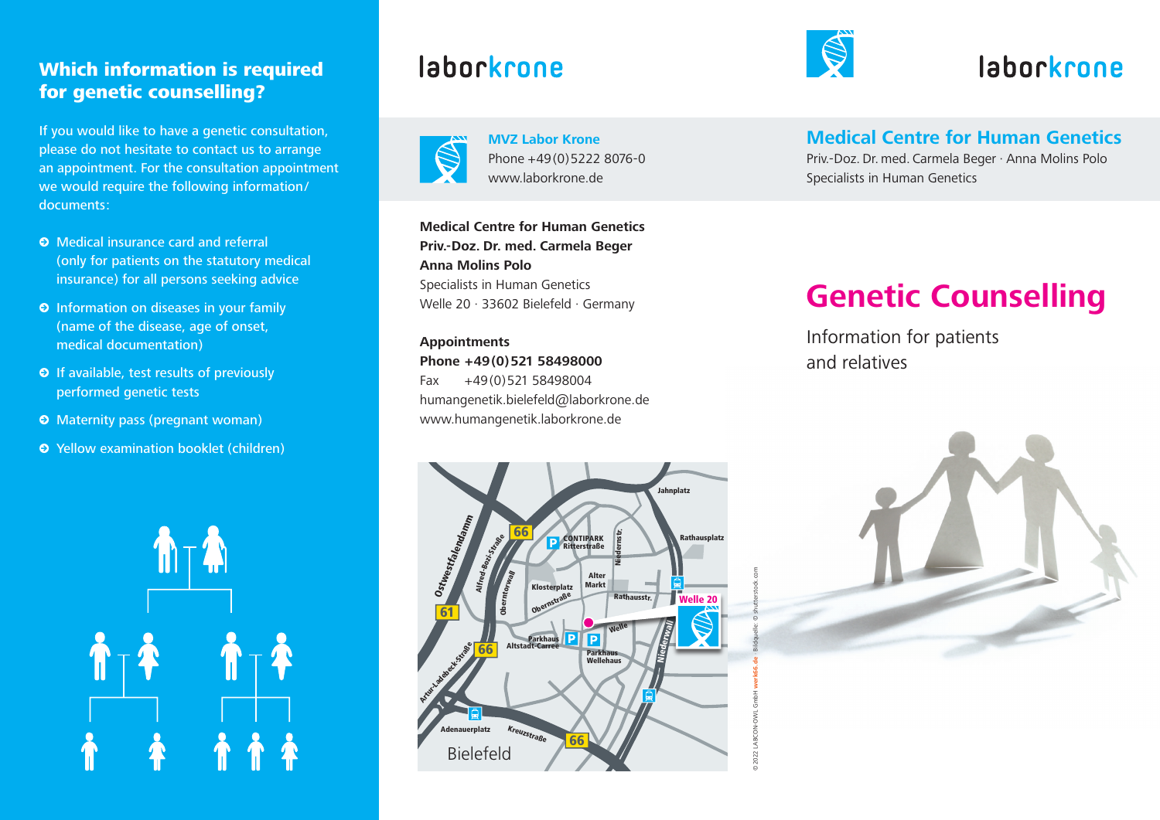## Which information is required for genetic counselling?

If you would like to have a genetic consultation, please do not hesitate to contact us to arrange an appointment. For the consultation appointment we would require the following information/ documents:

- **•** Medical insurance card and referral (only for patients on the statutory medical insurance) for all persons seeking advice
- **•** Information on diseases in your family (name of the disease, age of onset, medical documentation)
- **•** If available, test results of previously performed genetic tests
- **•** Maternity pass (pregnant woman)
- **•** Yellow examination booklet (children)



# laborkrone



**MVZ Labor Krone** Phone +49(0)5222 8076-0 www.laborkrone.de

**Medical Centre for Human Genetics Priv.-Doz. Dr. med. Carmela Beger Anna Molins Polo** Specialists in Human Genetics Welle 20 · 33602 Bielefeld · Germany

**Appointments Phone +49(0)521 58498000** Fax +49(0)521 58498004 humangenetik.bielefeld@laborkrone.de www.humangenetik.laborkrone.de



©

2022 LABCON-OWL GmbH **werk66.de** · Bildquelle: © shutterstock.com



# laborkrone

**Medical Centre for Human Genetics**

Priv.-Doz. Dr. med. Carmela Beger · Anna Molins Polo Specialists in Human Genetics

# **Genetic Counselling**

Information for patients and relatives